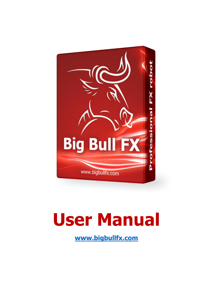

# **[User Manual](http://ProfitF.forexsteroidbig.c2strack.com)**

**www.bigbullfx.com**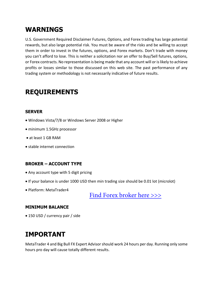#### **WARNINGS**

U.S. Government Required Disclaimer Futures, Options, and Forex trading has large potential rewards, but also large potential risk. You must be aware of the risks and be willing to accept them in order to invest in the futures, options, and Forex markets. Don't trade with money you can't afford to lose. This is neither a solicitation nor an offer to Buy/Sell futures, options, or Forex contracts. No representation is being made that any account will or is likely to achieve profits or losses similar to those discussed on this web site. The past performance of any trading system or methodology is not necessarily indicative of future results.

## **REQUIREMENTS**

#### **SERVER**

- Windows Vista/7/8 or Windows Server 2008 or Higher
- minimum 1.5GHz processor
- at least 1 GB RAM
- stable internet connection

#### **BROKER – ACCOUNT TYPE**

- Any account type with 5 digit pricing
- If your balance is under 1000 USD then min trading size should be 0.01 lot (microlot)
- Platform: MetaTrader4

[Find Forex broker here >>>](http://www.profitf.com/forex-brokers/)

#### **MINIMUM BALANCE**

• 150 USD / currency pair / side

#### **IMPORTANT**

MetaTrader 4 and Big Bull FX Expert Advisor should work 24 hours per day. Running only some hours pro day will cause totally different results.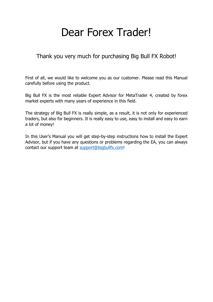## Dear Forex Trader!

#### Thank you very much for purchasing Big Bull FX Robot!

First of all, we would like to welcome you as our customer. Please read this Manual carefully before using the product.

Big Bull FX is the most reliable Expert Advisor for MetaTrader 4, created by forex market experts with many years of experience in this field.

The strategy of Big Bull FX is really simple, as a result, it is not only for experienced traders, but also for beginners. It is really easy to use, easy to install and easy to earn a lot of money!

In this User's Manual you will get step-by-step instructions how to install the Expert [Advisor, but if you have any questions or problems regarding the EA, you can always](http://ProfitF.forexsteroidbig.c2strack.com)  contact our support team at support@bigbullfx.com!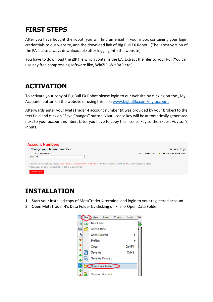## **FIRST STEPS**

After you have bought the robot, you will find an email in your inbox containing your login credentials to our website, and the download link of Big Bull FX Robot. (The latest version of the EA is also always downloadable after logging into the website)

You have to download the ZIP file which contains the EA. Extract the files to your PC. (You can use any free compressing software like, WinZIP, WinRAR etc.)

## **ACTIVATION**

To activate your copy of Big Bull FX Robot please login to our website by clicking on the "My Account" button on the website or using this link: [www.bigbullfx.com/my-account](http://ProfitF.forexsteroidbig.c2strack.com)

Afterwards enter your MetaTrader 4 account number (it was provided by your broker) to the text field and click on "Save Changes" button. Your license key will be automatically generated next to your account number. Later you have to copy this license key to the Expert Advisor's inputs.

| <b>Account Numbers</b>                                                              |                                                                                                                                                 |
|-------------------------------------------------------------------------------------|-------------------------------------------------------------------------------------------------------------------------------------------------|
| <b>Change your Account numbers</b>                                                  | License Keys                                                                                                                                    |
| Account number 1                                                                    | f353254ee4cc14777107eed9f75ce23aa4a19024                                                                                                        |
| 123456                                                                              |                                                                                                                                                 |
| Please copy properly your License key to the Expert Advisor!<br><b>Save Changes</b> | After editing your settings, please restart BigBullfx expert in your Metatrader. It may take a couple of minutes until the changes take effect. |

#### **INSTALLATION**

- 1. Start your installed copy of MetaTrader 4 terminal and login to your registered account.
- 2. Open MetaTrader 4's Data Folder by clicking on File -> Open Data Folder

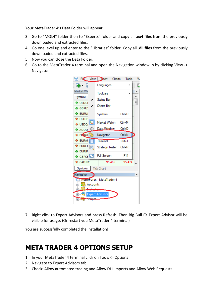Your MetaTrader 4's Data Folder will appear

- 3. Go to "MQL4" folder then to "Experts" folder and copy all **.ex4 files** from the previously downloaded and extracted files.
- 4. Go one level up and enter to the "Libraries" folder. Copy all **.dll files** from the previously downloaded and extracted files.
- 5. Now you can close the Data Folder.
- 6. Go to the MetaTrader 4 terminal and open the Navigation window in by clicking View -> Navigator



7. Right click to Expert Advisors and press Refresh. Then Big Bull FX Expert Advisor will be visible for usage. (Or restart you MetaTrader 4 terminal)

You are successfully completed the installation!

#### **META TRADER 4 OPTIONS SETUP**

- 1. In your MetaTrader 4 terminal click on Tools -> Options
- 2. Navigate to Expert Advisors tab
- 3. Check: Allow automated trading and Allow DLL imports and Allow Web Requests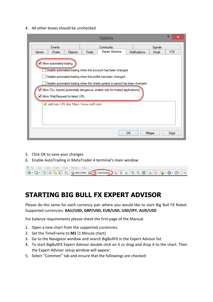4. All other boxes should be unchecked

|                            |                                                                                                                                                                                                                                                                                                                                                                   |         |       | <b>Options</b>         |  |                      |         |            | × |
|----------------------------|-------------------------------------------------------------------------------------------------------------------------------------------------------------------------------------------------------------------------------------------------------------------------------------------------------------------------------------------------------------------|---------|-------|------------------------|--|----------------------|---------|------------|---|
|                            | Events                                                                                                                                                                                                                                                                                                                                                            |         |       | Community              |  |                      | Signals |            |   |
| Server                     | Charts                                                                                                                                                                                                                                                                                                                                                            | Objects | Trade | <b>Expert Advisors</b> |  | <b>Notifications</b> | Email   | <b>FTP</b> |   |
|                            | √ Allow automated trading<br>Disable automated trading when the account has been changed<br>Disable automated trading when the profile has been changed<br>Disable automated trading when the charts symbol or period has been changed<br>√ Allow DLL imports (potentially dangerous, enable only for trusted applications)<br>√ Allow WebRequest for listed URL: |         |       |                        |  |                      |         |            |   |
|                            | add new URL like 'https://www.mql5.com'                                                                                                                                                                                                                                                                                                                           |         |       |                        |  |                      |         |            |   |
| <b>OK</b><br>Mégse<br>Súgó |                                                                                                                                                                                                                                                                                                                                                                   |         |       |                        |  |                      |         |            |   |

- 5. Click OK to save your changes
- 6. Enable AutoTrading in MetaTrader 4 terminal's main window

|  |  |  | Re File View Insert Charts Tools Window Help |  |  |  |  |  |
|--|--|--|----------------------------------------------|--|--|--|--|--|
|  |  |  |                                              |  |  |  |  |  |

#### **STARTING BIG BULL FX EXPERT ADVISOR**

Please do the same for each currency pair where you would like to start Big Bull FX Robot. Supported currencies: **XAU/USD, GBP/USD, EUR/USD, USD/JPY, AUD/USD**

For balance requirements please check the first page of the Manual.

- 1. Open a new chart from the supported currencies.
- 2. Set the TimeFrame to **M1** (1 Minute chart)
- 3. Go to the Navigator window and search BigBullFX in the Expert Advisor list
- 4. To start BigBullFX Expert Advisor double click on it or drag and drop it to the chart. Then the Expert Advisor setup window will appear.
- 5. Select "Common" tab and ensure that the followings are checked: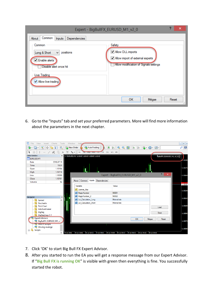|                                                                                                                                                                                | Expert - BigBullFX_EURUSD_M1_v2_0                                                                         |       | × |
|--------------------------------------------------------------------------------------------------------------------------------------------------------------------------------|-----------------------------------------------------------------------------------------------------------|-------|---|
| Common<br>About<br>Dependencies<br><b>Inputs</b><br>Common<br>Long & Short<br>positions<br>v<br>√ Enable alerts<br>Disable alert once hit<br>Live Trading<br>Mlow live trading | Safety<br>Allow DLL imports<br>Allow import of external experts<br>Allow modification of Signals settings |       |   |
|                                                                                                                                                                                | OК<br>Mégse                                                                                               | Reset | w |

6. Go to the "Inputs" tab and set your preferred parameters. More will find more information about the parameters in the next chapter.

| 噅<br>File<br>View                | Charts<br>Tools<br>Insert                                   | Window                      | Hel                                        |              |                                                                                                 |    |                | F X<br>$\overline{\phantom{a}}$  |
|----------------------------------|-------------------------------------------------------------|-----------------------------|--------------------------------------------|--------------|-------------------------------------------------------------------------------------------------|----|----------------|----------------------------------|
| 吗.<br>e<br>氐                     |                                                             | <b>R</b> New Order          | AutoTrading                                | 顶<br>U.      | $\bigoplus$<br>b.                                                                               |    |                | Q<br>$\frac{5}{2}$               |
| --<br>k                          | $\begin{array}{c}\n\cdots \\ \cdots\n\end{array}$<br>缏<br>A | $\uparrow_{\alpha}$ .<br>ÎΤ | M5 M15 M30 H1<br>M1                        | H4<br>D1     | W1 MN                                                                                           |    |                |                                  |
| Data Window                      | ×                                                           |                             | EURUSD, M1 1.10142 1.10142 1.10142 1.10142 |              |                                                                                                 |    |                | BigBullFX_EURUSD_M1_v2_0 @       |
| NT EURUSD, M1                    |                                                             |                             |                                            |              |                                                                                                 |    |                | 1.10190                          |
| Date                             | 2016.07.19                                                  |                             |                                            |              |                                                                                                 |    |                |                                  |
| Time                             | 18:34                                                       |                             |                                            |              |                                                                                                 |    |                |                                  |
| Open                             | 1.10104                                                     |                             |                                            |              |                                                                                                 |    |                | 1.10175                          |
| High                             | 1.10110                                                     |                             |                                            |              |                                                                                                 |    |                |                                  |
| Low                              | 1.10088                                                     |                             |                                            |              | Expert - BigBullFX_EURUSD_M1_v2_0                                                               |    | $\overline{?}$ | $\boldsymbol{\times}$<br>1.10160 |
| Close                            | 1.10101                                                     |                             | <b>Inputs</b>                              |              |                                                                                                 |    |                |                                  |
| Volume                           | 94                                                          | About                       | Common                                     | Dependencies |                                                                                                 |    |                |                                  |
|                                  |                                                             |                             | Variable                                   |              | Value                                                                                           |    |                | 1.10142                          |
|                                  |                                                             |                             | ab License Key                             |              |                                                                                                 |    |                | 1.10130                          |
|                                  |                                                             |                             | 123 MagicNumber                            |              | 90001                                                                                           |    |                |                                  |
| Navigator                        | $\pmb{\times}$                                              |                             | 123 MagicNumber 2                          |              | 90002                                                                                           |    |                |                                  |
| $f_{\circ}$<br>Spread            | Ä                                                           |                             | 123 Lot_Calculation_Long                   |              | Minimal risk                                                                                    |    |                | 1.10115                          |
| $f_{\wedge}$<br>Stochastic       |                                                             |                             | 123 Lot_Calculation_Short                  |              | Minimal risk                                                                                    |    |                |                                  |
| $f_{\odot}$<br><b>Tick Chart</b> |                                                             |                             |                                            |              |                                                                                                 |    | Load           | 1.10100                          |
| tickchartmaker                   |                                                             |                             |                                            |              |                                                                                                 |    |                |                                  |
| $f_{\circ}$<br>ZigZag            |                                                             |                             |                                            |              |                                                                                                 |    | Save           | 1.10085                          |
| ZigZagZug.v1.1                   |                                                             |                             |                                            |              |                                                                                                 |    |                |                                  |
| <b>Expert Advisors</b>           |                                                             |                             |                                            |              |                                                                                                 | OK | Mégse<br>Reset |                                  |
|                                  | BigBullFX_EURUSD_M1_v.                                      |                             |                                            |              |                                                                                                 |    |                | 1.10070                          |
| MACD Sample<br>Moving Average    |                                                             |                             |                                            |              |                                                                                                 |    |                |                                  |
| 由 戛<br><b>Scripts</b>            |                                                             |                             |                                            |              |                                                                                                 |    |                | 1.10055                          |
|                                  |                                                             | 19 Jul 2016                 |                                            |              | 19 Jul 18:45 19 Jul 18:53 19 Jul 19:01 19:09 19:00 19:17 19 Jul 19:25 19 Jul 19:33 19 Jul 19:41 |    |                |                                  |

- 7. Click 'OK' to start Big Bull FX Expert Advisor.
- 8. After you started to run the EA you will get a response message from our Expert Advisor. If "**Big Bull FX is running OK**" is visible with green then everything is fine. You successfully started the robot.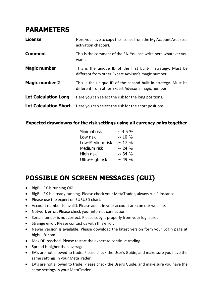#### **PARAMETERS**

| <b>License</b>               | Here you have to copy the license from the My Account Area (see<br>activation chapter).                               |
|------------------------------|-----------------------------------------------------------------------------------------------------------------------|
| <b>Comment</b>               | This is the comment of the EA. You can write here whatever you<br>want.                                               |
| <b>Magic number</b>          | This is the unique ID of the first built-in strategy. Must be<br>different from other Expert Advisor's magic number.  |
| <b>Magic number 2</b>        | This is the unique ID of the second built-in strategy. Must be<br>different from other Expert Advisor's magic number. |
| <b>Lot Calculation Long</b>  | Here you can select the risk for the long positions.                                                                  |
| <b>Lot Calculation Short</b> | Here you can select the risk for the short positions.                                                                 |

#### **Expected drawdowns for the risk settings using all currency pairs together**

| $\sim$ 4.5 % |
|--------------|
| $\sim$ 10 %  |
| $\sim$ 17 %  |
| $\sim$ 24 %  |
| $\sim$ 34 %  |
| $\sim$ 49 %  |
|              |

## **POSSIBLE ON SCREEN MESSAGES (GUI)**

- BigBullFX is running OK!
- BigBullFX is already running. Please check your MetaTrader, always run 1 instance.
- Please use the expert on EURUSD chart.
- Account number is invalid. Please add it in your account area on our website.
- Network error. Please check your internet connection.
- Serial number is not correct. Please copy it properly from your login area.
- Strange error. Please contact us with this error.
- Newer version is available. Please download the latest version form your Login page at bigbullfx.com.
- Max DD reached. Please restart the expert to continue trading.
- Spread is higher than average.
- EA's are not allowed to trade. Please check the User's Guide, and make sure you have the same settings in your MetaTrader.
- EA's are not allowed to trade. Please check the User's Guide, and make sure you have the same settings in your MetaTrader.